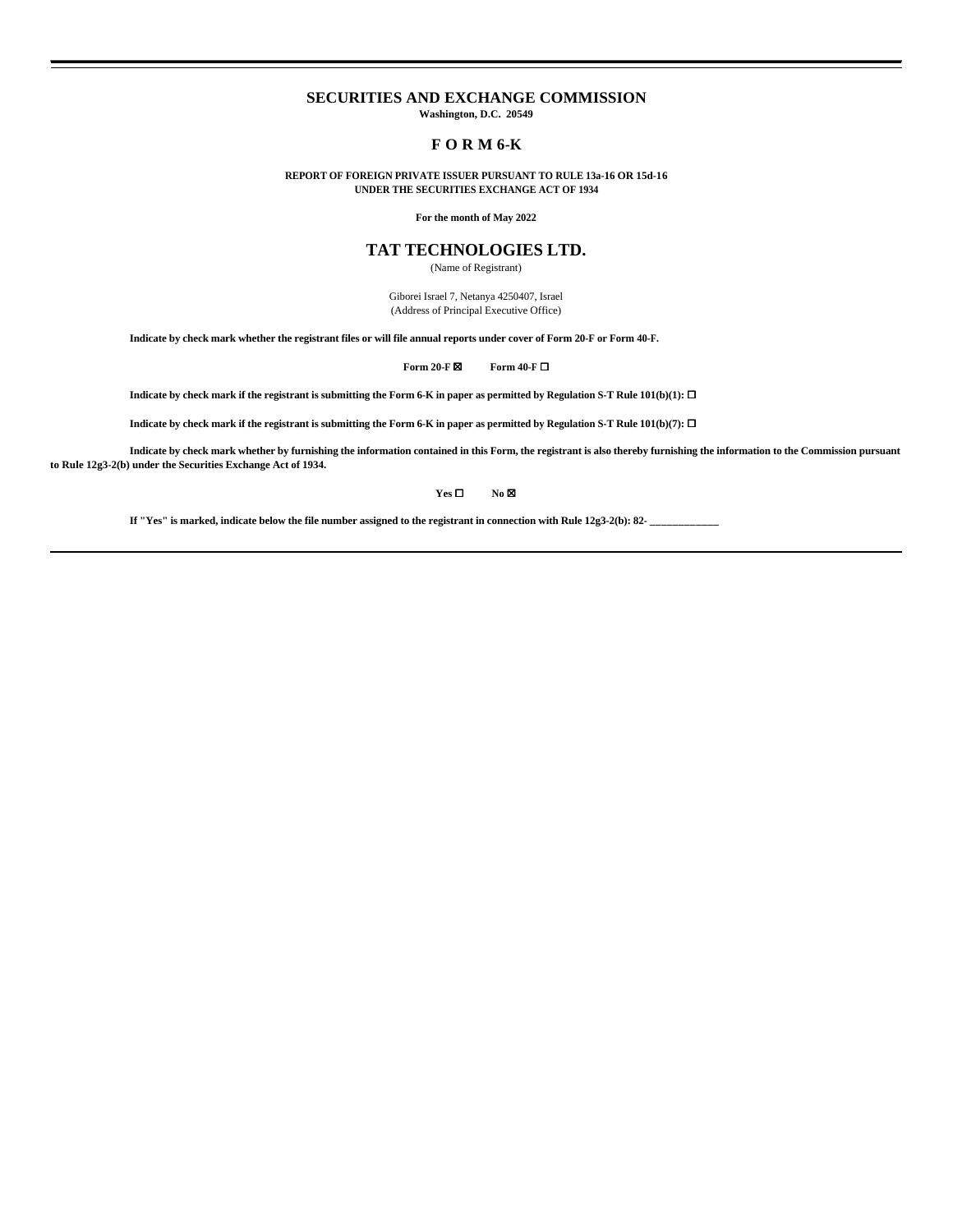#### **SECURITIES AND EXCHANGE COMMISSION**

**Washington, D.C. 20549**

# **F O R M 6-K**

**REPORT OF FOREIGN PRIVATE ISSUER PURSUANT TO RULE 13a-16 OR 15d-16 UNDER THE SECURITIES EXCHANGE ACT OF 1934**

**For the month of May 2022**

### **TAT TECHNOLOGIES LTD.**

(Name of Registrant)

Giborei Israel 7, Netanya 4250407, Israel (Address of Principal Executive Office)

**Indicate by check mark whether the registrant files or will file annual reports under cover of Form 20-F or Form 40-F.**

**Form 20-F** ☒ **Form 40-F** ☐

**Indicate by check mark if the registrant is submitting the Form 6-K in paper as permitted by Regulation S-T Rule 101(b)(1):** ☐

**Indicate by check mark if the registrant is submitting the Form 6-K in paper as permitted by Regulation S-T Rule 101(b)(7):** ☐

**Indicate by check mark whether by furnishing the information contained in this Form, the registrant is also thereby furnishing the information to the Commission pursuant to Rule 12g3-2(b) under the Securities Exchange Act of 1934.**

**Yes** ☐ **No** ☒

**If "Yes" is marked, indicate below the file number assigned to the registrant in connection with Rule 12g3-2(b): 82- \_\_\_**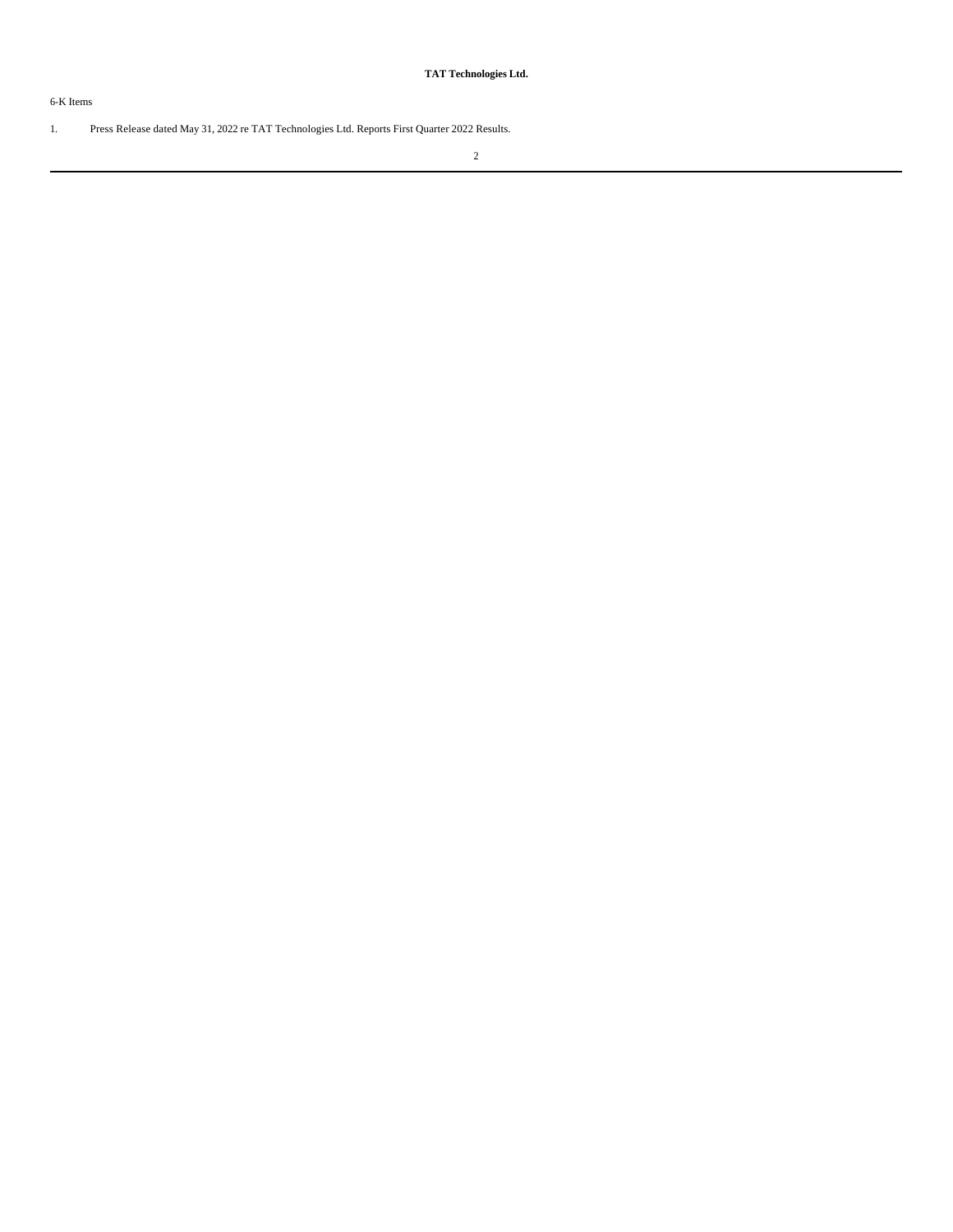1. Press Release dated May 31, 2022 re TAT Technologies Ltd. Reports First Quarter 2022 Results.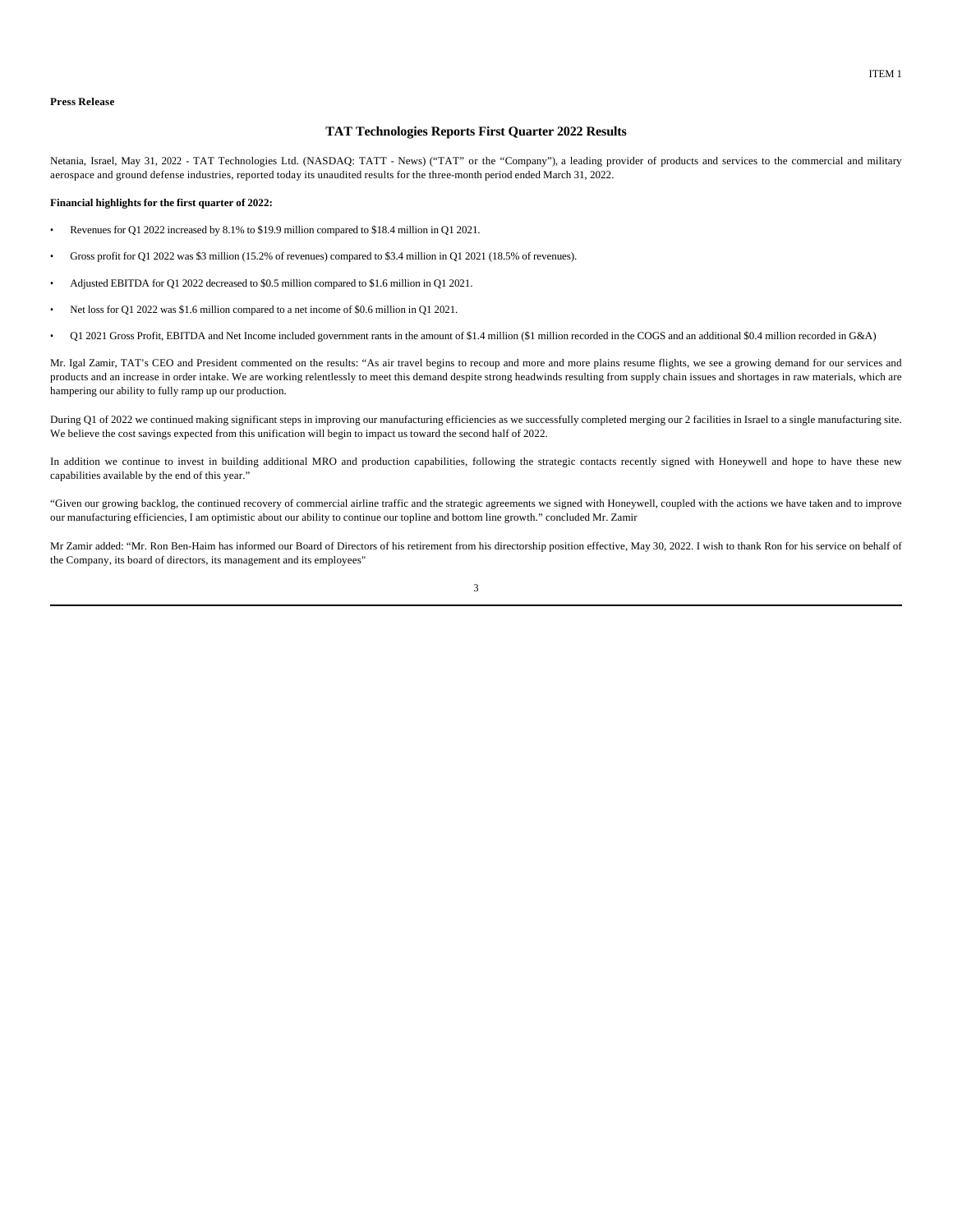#### **Press Release**

#### **TAT Technologies Reports First Quarter 2022 Results**

Netania, Israel, May 31, 2022 - TAT Technologies Ltd. (NASDAQ: TATT - News) ("TAT" or the "Company"), a leading provider of products and services to the commercial and military aerospace and ground defense industries, reported today its unaudited results for the three-month period ended March 31, 2022.

#### **Financial highlights for the first quarter of 2022:**

- Revenues for Q1 2022 increased by 8.1% to \$19.9 million compared to \$18.4 million in Q1 2021.
- Gross profit for Q1 2022 was \$3 million (15.2% of revenues) compared to \$3.4 million in Q1 2021 (18.5% of revenues).
- Adjusted EBITDA for Q1 2022 decreased to \$0.5 million compared to \$1.6 million in Q1 2021.
- Net loss for Q1 2022 was \$1.6 million compared to a net income of \$0.6 million in Q1 2021.
- Q1 2021 Gross Profit, EBITDA and Net Income included government rants in the amount of \$1.4 million (\$1 million recorded in the COGS and an additional \$0.4 million recorded in G&A)

Mr. Igal Zamir, TAT's CEO and President commented on the results: "As air travel begins to recoup and more and more plains resume flights, we see a growing demand for our services and products and an increase in order intake. We are working relentlessly to meet this demand despite strong headwinds resulting from supply chain issues and shortages in raw materials, which are hampering our ability to fully ramp up our production.

During Q1 of 2022 we continued making significant steps in improving our manufacturing efficiencies as we successfully completed merging our 2 facilities in Israel to a single manufacturing site. We believe the cost savings expected from this unification will begin to impact us toward the second half of 2022.

In addition we continue to invest in building additional MRO and production capabilities, following the strategic contacts recently signed with Honeywell and hope to have these new capabilities available by the end of this year."

"Given our growing backlog, the continued recovery of commercial airline traffic and the strategic agreements we signed with Honeywell, coupled with the actions we have taken and to improve our manufacturing efficiencies, I am optimistic about our ability to continue our topline and bottom line growth." concluded Mr. Zamir

Mr Zamir added: "Mr. Ron Ben-Haim has informed our Board of Directors of his retirement from his directorship position effective, May 30, 2022. I wish to thank Ron for his service on behalf of the Company, its board of directors, its management and its employees"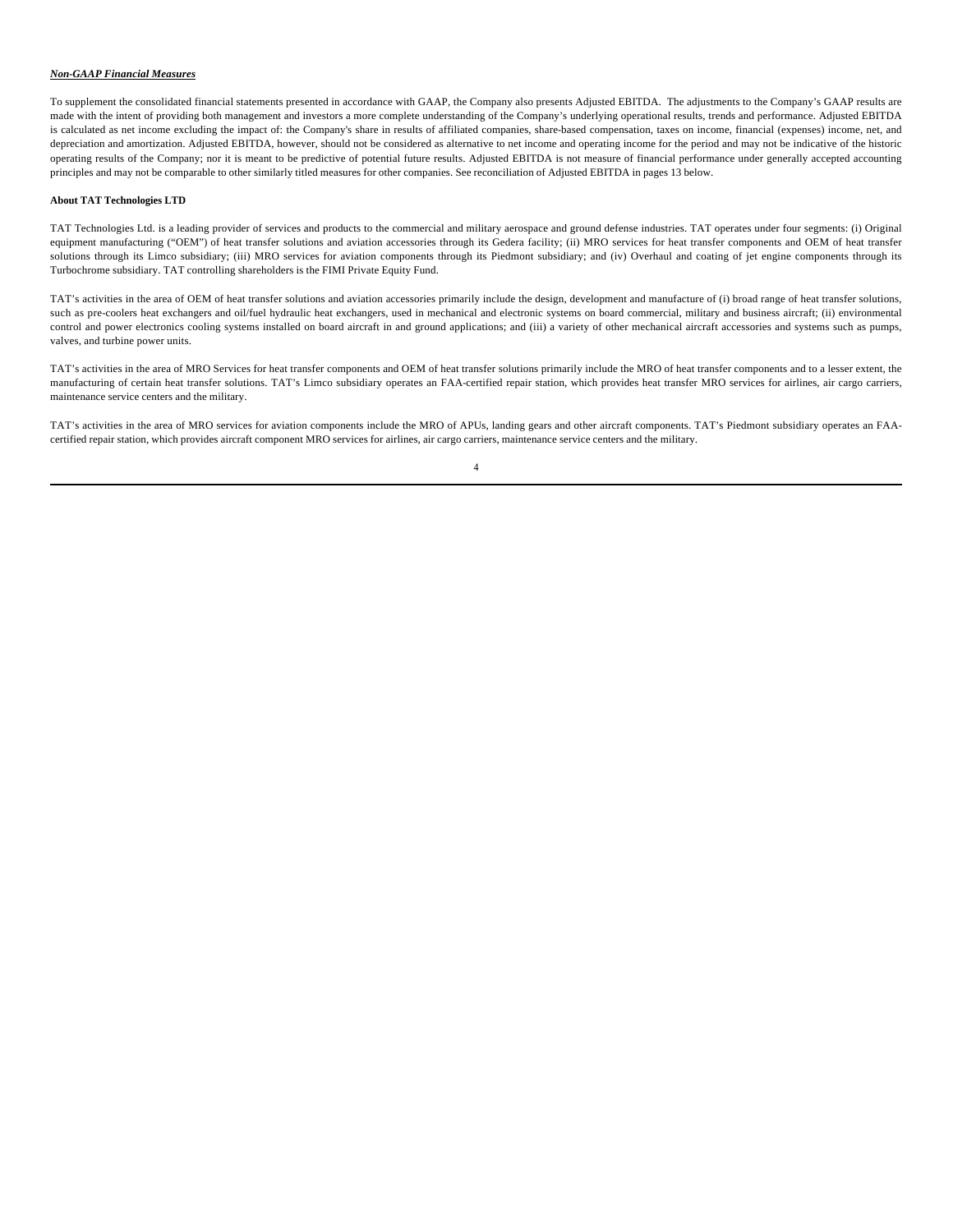#### *Non-GAAP Financial Measures*

To supplement the consolidated financial statements presented in accordance with GAAP, the Company also presents Adjusted EBITDA. The adjustments to the Company's GAAP results are made with the intent of providing both management and investors a more complete understanding of the Company's underlying operational results, trends and performance. Adjusted EBITDA is calculated as net income excluding the impact of: the Company's share in results of affiliated companies, share-based compensation, taxes on income, financial (expenses) income, net, and depreciation and amortization. Adjusted EBITDA, however, should not be considered as alternative to net income and operating income for the period and may not be indicative of the historic operating results of the Company; nor it is meant to be predictive of potential future results. Adjusted EBITDA is not measure of financial performance under generally accepted accounting principles and may not be comparable to other similarly titled measures for other companies. See reconciliation of Adjusted EBITDA in pages 13 below.

#### **About TAT Technologies LTD**

TAT Technologies Ltd. is a leading provider of services and products to the commercial and military aerospace and ground defense industries. TAT operates under four segments: (i) Original equipment manufacturing ("OEM") of heat transfer solutions and aviation accessories through its Gedera facility; (ii) MRO services for heat transfer components and OEM of heat transfer solutions through its Limco subsidiary; (iii) MRO services for aviation components through its Piedmont subsidiary; and (iv) Overhaul and coating of jet engine components through its Turbochrome subsidiary. TAT controlling shareholders is the FIMI Private Equity Fund.

TAT's activities in the area of OEM of heat transfer solutions and aviation accessories primarily include the design, development and manufacture of (i) broad range of heat transfer solutions, such as pre-coolers heat exchangers and oil/fuel hydraulic heat exchangers, used in mechanical and electronic systems on board commercial, military and business aircraft; (ii) environmental control and power electronics cooling systems installed on board aircraft in and ground applications; and (iii) a variety of other mechanical aircraft accessories and systems such as pumps, valves, and turbine power units.

TAT's activities in the area of MRO Services for heat transfer components and OEM of heat transfer solutions primarily include the MRO of heat transfer components and to a lesser extent, the manufacturing of certain heat transfer solutions. TAT's Limco subsidiary operates an FAA-certified repair station, which provides heat transfer MRO services for airlines, air cargo carriers, maintenance service centers and the military.

TAT's activities in the area of MRO services for aviation components include the MRO of APUs, landing gears and other aircraft components. TAT's Piedmont subsidiary operates an FAAcertified repair station, which provides aircraft component MRO services for airlines, air cargo carriers, maintenance service centers and the military.

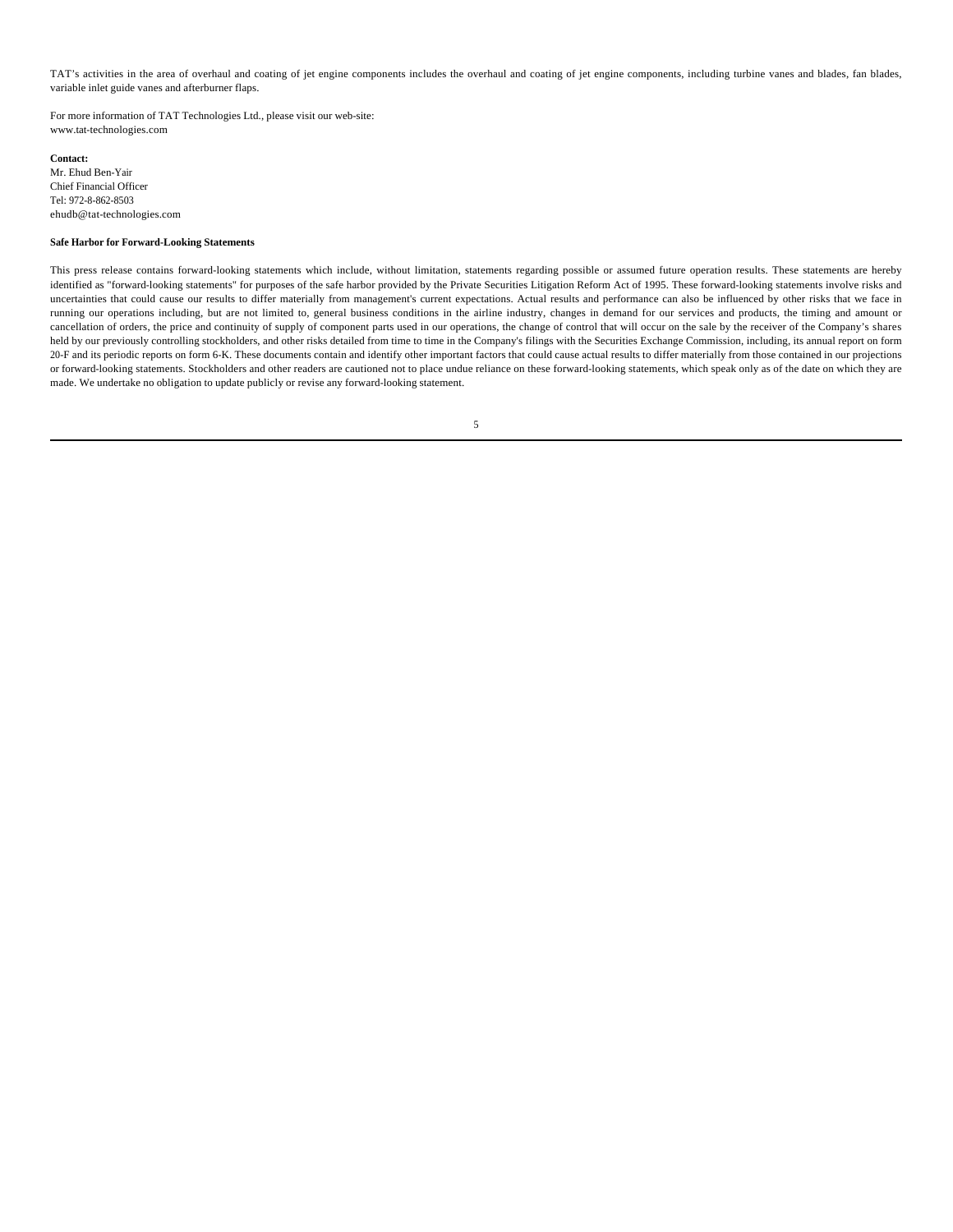TAT's activities in the area of overhaul and coating of jet engine components includes the overhaul and coating of jet engine components, including turbine vanes and blades, fan blades, variable inlet guide vanes and afterburner flaps.

For more information of TAT Technologies Ltd., please visit our web-site: www.tat-technologies.com

**Contact:**

Mr. Ehud Ben-Yair Chief Financial Officer Tel: 972-8-862-8503 ehudb@tat-technologies.com

#### **Safe Harbor for Forward-Looking Statements**

This press release contains forward-looking statements which include, without limitation, statements regarding possible or assumed future operation results. These statements are hereby identified as "forward-looking statements" for purposes of the safe harbor provided by the Private Securities Litigation Reform Act of 1995. These forward-looking statements involve risks and uncertainties that could cause our results to differ materially from management's current expectations. Actual results and performance can also be influenced by other risks that we face in running our operations including, but are not limited to, general business conditions in the airline industry, changes in demand for our services and products, the timing and amount or cancellation of orders, the price and continuity of supply of component parts used in our operations, the change of control that will occur on the sale by the receiver of the Company's shares held by our previously controlling stockholders, and other risks detailed from time to time in the Company's filings with the Securities Exchange Commission, including, its annual report on form 20-F and its periodic reports on form 6-K. These documents contain and identify other important factors that could cause actual results to differ materially from those contained in our projections or forward-looking statements. Stockholders and other readers are cautioned not to place undue reliance on these forward-looking statements, which speak only as of the date on which they are made. We undertake no obligation to update publicly or revise any forward-looking statement.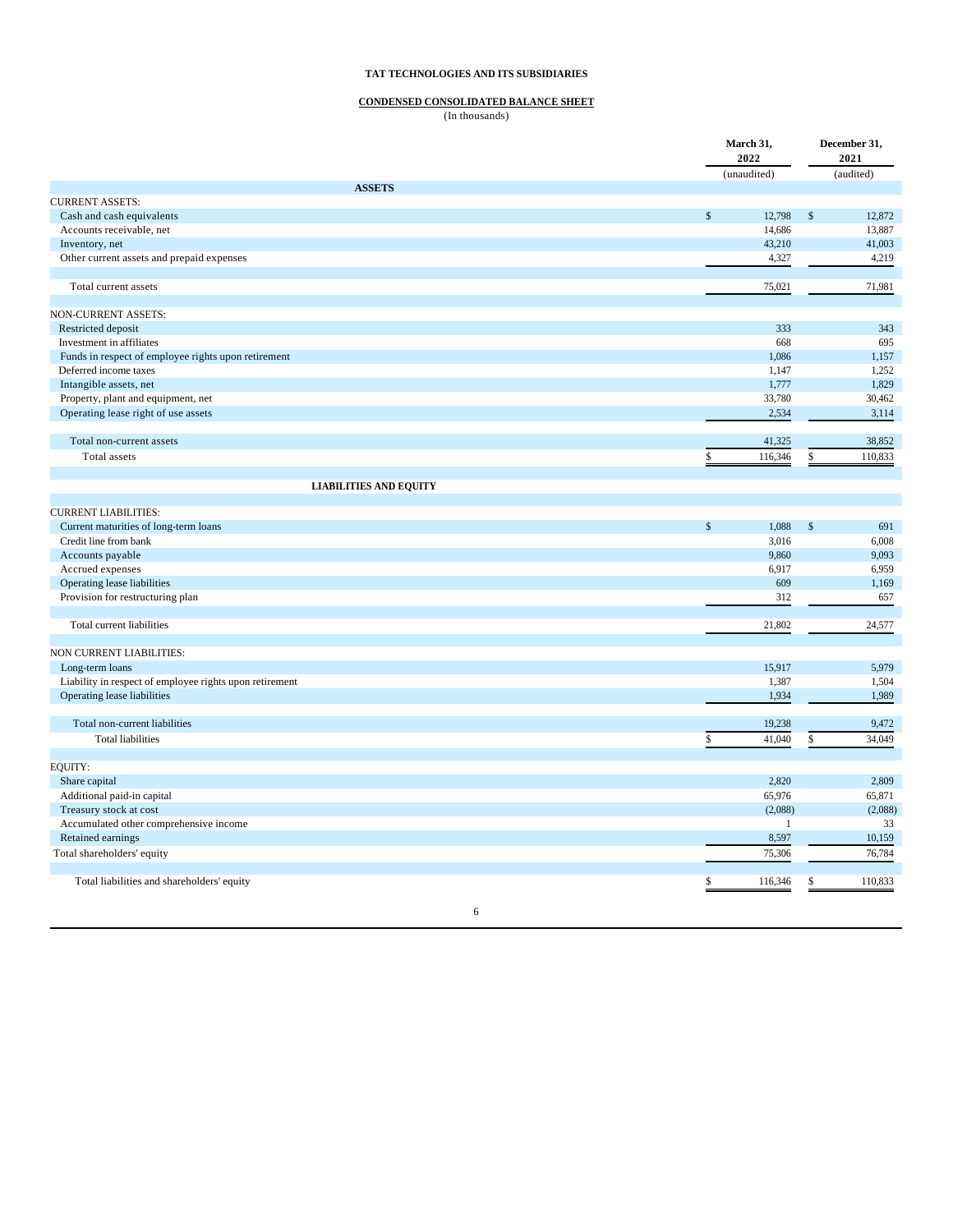# **CONDENSED CONSOLIDATED BALANCE SHEET**

(In thousands)

| <b>ASSETS</b><br><b>CURRENT ASSETS:</b><br>\$<br>12,798<br>$\mathbb{S}$<br>12,872<br>Cash and cash equivalents<br>14,686<br>13,887<br>Accounts receivable, net<br>43,210<br>41,003<br>Inventory, net<br>Other current assets and prepaid expenses<br>4,327<br>4,219<br>75,021<br>71,981<br>Total current assets<br>NON-CURRENT ASSETS:<br>333<br>343<br>Restricted deposit<br>668<br>695<br>Investment in affiliates<br>Funds in respect of employee rights upon retirement<br>1,086<br>1,157<br>1,252<br>Deferred income taxes<br>1,147<br>1,829<br>Intangible assets, net<br>1,777<br>Property, plant and equipment, net<br>33,780<br>30,462<br>2,534<br>3,114<br>Operating lease right of use assets<br>Total non-current assets<br>41,325<br>38,852<br>116,346<br>110,833<br>Total assets<br>\$<br>\$<br><b>LIABILITIES AND EQUITY</b><br><b>CURRENT LIABILITIES:</b><br>\$<br>$\mathsf{\$}$<br>Current maturities of long-term loans<br>1,088<br>691<br>3,016<br>6,008<br>Credit line from bank<br>Accounts payable<br>9,860<br>9,093<br>Accrued expenses<br>6,917<br>6,959<br>Operating lease liabilities<br>609<br>1,169<br>312<br>657<br>Provision for restructuring plan<br>Total current liabilities<br>21,802<br>24,577<br>NON CURRENT LIABILITIES:<br>15,917<br>5,979<br>Long-term loans<br>Liability in respect of employee rights upon retirement<br>1,387<br>1,504<br>Operating lease liabilities<br>1,934<br>1,989<br>Total non-current liabilities<br>19,238<br>9,472<br>\$<br>41,040<br>\$<br>34,049<br><b>Total liabilities</b><br>EQUITY:<br>2,820<br>2,809<br>Share capital<br>Additional paid-in capital<br>65,976<br>65,871<br>(2,088)<br>Treasury stock at cost<br>(2,088)<br>Accumulated other comprehensive income<br>33<br>1<br>8,597<br>10,159<br>Retained earnings<br>Total shareholders' equity<br>75,306<br>76,784<br>116,346<br>110,833<br>Total liabilities and shareholders' equity<br>\$<br>\$ | March 31,<br>2022 | December 31,<br>2021 |
|-----------------------------------------------------------------------------------------------------------------------------------------------------------------------------------------------------------------------------------------------------------------------------------------------------------------------------------------------------------------------------------------------------------------------------------------------------------------------------------------------------------------------------------------------------------------------------------------------------------------------------------------------------------------------------------------------------------------------------------------------------------------------------------------------------------------------------------------------------------------------------------------------------------------------------------------------------------------------------------------------------------------------------------------------------------------------------------------------------------------------------------------------------------------------------------------------------------------------------------------------------------------------------------------------------------------------------------------------------------------------------------------------------------------------------------------------------------------------------------------------------------------------------------------------------------------------------------------------------------------------------------------------------------------------------------------------------------------------------------------------------------------------------------------------------------------------------------------------------------------------------------------------------------------------------------|-------------------|----------------------|
|                                                                                                                                                                                                                                                                                                                                                                                                                                                                                                                                                                                                                                                                                                                                                                                                                                                                                                                                                                                                                                                                                                                                                                                                                                                                                                                                                                                                                                                                                                                                                                                                                                                                                                                                                                                                                                                                                                                                   | (unaudited)       | (audited)            |
|                                                                                                                                                                                                                                                                                                                                                                                                                                                                                                                                                                                                                                                                                                                                                                                                                                                                                                                                                                                                                                                                                                                                                                                                                                                                                                                                                                                                                                                                                                                                                                                                                                                                                                                                                                                                                                                                                                                                   |                   |                      |
|                                                                                                                                                                                                                                                                                                                                                                                                                                                                                                                                                                                                                                                                                                                                                                                                                                                                                                                                                                                                                                                                                                                                                                                                                                                                                                                                                                                                                                                                                                                                                                                                                                                                                                                                                                                                                                                                                                                                   |                   |                      |
|                                                                                                                                                                                                                                                                                                                                                                                                                                                                                                                                                                                                                                                                                                                                                                                                                                                                                                                                                                                                                                                                                                                                                                                                                                                                                                                                                                                                                                                                                                                                                                                                                                                                                                                                                                                                                                                                                                                                   |                   |                      |
|                                                                                                                                                                                                                                                                                                                                                                                                                                                                                                                                                                                                                                                                                                                                                                                                                                                                                                                                                                                                                                                                                                                                                                                                                                                                                                                                                                                                                                                                                                                                                                                                                                                                                                                                                                                                                                                                                                                                   |                   |                      |
|                                                                                                                                                                                                                                                                                                                                                                                                                                                                                                                                                                                                                                                                                                                                                                                                                                                                                                                                                                                                                                                                                                                                                                                                                                                                                                                                                                                                                                                                                                                                                                                                                                                                                                                                                                                                                                                                                                                                   |                   |                      |
|                                                                                                                                                                                                                                                                                                                                                                                                                                                                                                                                                                                                                                                                                                                                                                                                                                                                                                                                                                                                                                                                                                                                                                                                                                                                                                                                                                                                                                                                                                                                                                                                                                                                                                                                                                                                                                                                                                                                   |                   |                      |
|                                                                                                                                                                                                                                                                                                                                                                                                                                                                                                                                                                                                                                                                                                                                                                                                                                                                                                                                                                                                                                                                                                                                                                                                                                                                                                                                                                                                                                                                                                                                                                                                                                                                                                                                                                                                                                                                                                                                   |                   |                      |
|                                                                                                                                                                                                                                                                                                                                                                                                                                                                                                                                                                                                                                                                                                                                                                                                                                                                                                                                                                                                                                                                                                                                                                                                                                                                                                                                                                                                                                                                                                                                                                                                                                                                                                                                                                                                                                                                                                                                   |                   |                      |
|                                                                                                                                                                                                                                                                                                                                                                                                                                                                                                                                                                                                                                                                                                                                                                                                                                                                                                                                                                                                                                                                                                                                                                                                                                                                                                                                                                                                                                                                                                                                                                                                                                                                                                                                                                                                                                                                                                                                   |                   |                      |
|                                                                                                                                                                                                                                                                                                                                                                                                                                                                                                                                                                                                                                                                                                                                                                                                                                                                                                                                                                                                                                                                                                                                                                                                                                                                                                                                                                                                                                                                                                                                                                                                                                                                                                                                                                                                                                                                                                                                   |                   |                      |
|                                                                                                                                                                                                                                                                                                                                                                                                                                                                                                                                                                                                                                                                                                                                                                                                                                                                                                                                                                                                                                                                                                                                                                                                                                                                                                                                                                                                                                                                                                                                                                                                                                                                                                                                                                                                                                                                                                                                   |                   |                      |
|                                                                                                                                                                                                                                                                                                                                                                                                                                                                                                                                                                                                                                                                                                                                                                                                                                                                                                                                                                                                                                                                                                                                                                                                                                                                                                                                                                                                                                                                                                                                                                                                                                                                                                                                                                                                                                                                                                                                   |                   |                      |
|                                                                                                                                                                                                                                                                                                                                                                                                                                                                                                                                                                                                                                                                                                                                                                                                                                                                                                                                                                                                                                                                                                                                                                                                                                                                                                                                                                                                                                                                                                                                                                                                                                                                                                                                                                                                                                                                                                                                   |                   |                      |
|                                                                                                                                                                                                                                                                                                                                                                                                                                                                                                                                                                                                                                                                                                                                                                                                                                                                                                                                                                                                                                                                                                                                                                                                                                                                                                                                                                                                                                                                                                                                                                                                                                                                                                                                                                                                                                                                                                                                   |                   |                      |
|                                                                                                                                                                                                                                                                                                                                                                                                                                                                                                                                                                                                                                                                                                                                                                                                                                                                                                                                                                                                                                                                                                                                                                                                                                                                                                                                                                                                                                                                                                                                                                                                                                                                                                                                                                                                                                                                                                                                   |                   |                      |
|                                                                                                                                                                                                                                                                                                                                                                                                                                                                                                                                                                                                                                                                                                                                                                                                                                                                                                                                                                                                                                                                                                                                                                                                                                                                                                                                                                                                                                                                                                                                                                                                                                                                                                                                                                                                                                                                                                                                   |                   |                      |
|                                                                                                                                                                                                                                                                                                                                                                                                                                                                                                                                                                                                                                                                                                                                                                                                                                                                                                                                                                                                                                                                                                                                                                                                                                                                                                                                                                                                                                                                                                                                                                                                                                                                                                                                                                                                                                                                                                                                   |                   |                      |
|                                                                                                                                                                                                                                                                                                                                                                                                                                                                                                                                                                                                                                                                                                                                                                                                                                                                                                                                                                                                                                                                                                                                                                                                                                                                                                                                                                                                                                                                                                                                                                                                                                                                                                                                                                                                                                                                                                                                   |                   |                      |
|                                                                                                                                                                                                                                                                                                                                                                                                                                                                                                                                                                                                                                                                                                                                                                                                                                                                                                                                                                                                                                                                                                                                                                                                                                                                                                                                                                                                                                                                                                                                                                                                                                                                                                                                                                                                                                                                                                                                   |                   |                      |
|                                                                                                                                                                                                                                                                                                                                                                                                                                                                                                                                                                                                                                                                                                                                                                                                                                                                                                                                                                                                                                                                                                                                                                                                                                                                                                                                                                                                                                                                                                                                                                                                                                                                                                                                                                                                                                                                                                                                   |                   |                      |
|                                                                                                                                                                                                                                                                                                                                                                                                                                                                                                                                                                                                                                                                                                                                                                                                                                                                                                                                                                                                                                                                                                                                                                                                                                                                                                                                                                                                                                                                                                                                                                                                                                                                                                                                                                                                                                                                                                                                   |                   |                      |
|                                                                                                                                                                                                                                                                                                                                                                                                                                                                                                                                                                                                                                                                                                                                                                                                                                                                                                                                                                                                                                                                                                                                                                                                                                                                                                                                                                                                                                                                                                                                                                                                                                                                                                                                                                                                                                                                                                                                   |                   |                      |
|                                                                                                                                                                                                                                                                                                                                                                                                                                                                                                                                                                                                                                                                                                                                                                                                                                                                                                                                                                                                                                                                                                                                                                                                                                                                                                                                                                                                                                                                                                                                                                                                                                                                                                                                                                                                                                                                                                                                   |                   |                      |
|                                                                                                                                                                                                                                                                                                                                                                                                                                                                                                                                                                                                                                                                                                                                                                                                                                                                                                                                                                                                                                                                                                                                                                                                                                                                                                                                                                                                                                                                                                                                                                                                                                                                                                                                                                                                                                                                                                                                   |                   |                      |
|                                                                                                                                                                                                                                                                                                                                                                                                                                                                                                                                                                                                                                                                                                                                                                                                                                                                                                                                                                                                                                                                                                                                                                                                                                                                                                                                                                                                                                                                                                                                                                                                                                                                                                                                                                                                                                                                                                                                   |                   |                      |
|                                                                                                                                                                                                                                                                                                                                                                                                                                                                                                                                                                                                                                                                                                                                                                                                                                                                                                                                                                                                                                                                                                                                                                                                                                                                                                                                                                                                                                                                                                                                                                                                                                                                                                                                                                                                                                                                                                                                   |                   |                      |
|                                                                                                                                                                                                                                                                                                                                                                                                                                                                                                                                                                                                                                                                                                                                                                                                                                                                                                                                                                                                                                                                                                                                                                                                                                                                                                                                                                                                                                                                                                                                                                                                                                                                                                                                                                                                                                                                                                                                   |                   |                      |
|                                                                                                                                                                                                                                                                                                                                                                                                                                                                                                                                                                                                                                                                                                                                                                                                                                                                                                                                                                                                                                                                                                                                                                                                                                                                                                                                                                                                                                                                                                                                                                                                                                                                                                                                                                                                                                                                                                                                   |                   |                      |
|                                                                                                                                                                                                                                                                                                                                                                                                                                                                                                                                                                                                                                                                                                                                                                                                                                                                                                                                                                                                                                                                                                                                                                                                                                                                                                                                                                                                                                                                                                                                                                                                                                                                                                                                                                                                                                                                                                                                   |                   |                      |
|                                                                                                                                                                                                                                                                                                                                                                                                                                                                                                                                                                                                                                                                                                                                                                                                                                                                                                                                                                                                                                                                                                                                                                                                                                                                                                                                                                                                                                                                                                                                                                                                                                                                                                                                                                                                                                                                                                                                   |                   |                      |
|                                                                                                                                                                                                                                                                                                                                                                                                                                                                                                                                                                                                                                                                                                                                                                                                                                                                                                                                                                                                                                                                                                                                                                                                                                                                                                                                                                                                                                                                                                                                                                                                                                                                                                                                                                                                                                                                                                                                   |                   |                      |
|                                                                                                                                                                                                                                                                                                                                                                                                                                                                                                                                                                                                                                                                                                                                                                                                                                                                                                                                                                                                                                                                                                                                                                                                                                                                                                                                                                                                                                                                                                                                                                                                                                                                                                                                                                                                                                                                                                                                   |                   |                      |
|                                                                                                                                                                                                                                                                                                                                                                                                                                                                                                                                                                                                                                                                                                                                                                                                                                                                                                                                                                                                                                                                                                                                                                                                                                                                                                                                                                                                                                                                                                                                                                                                                                                                                                                                                                                                                                                                                                                                   |                   |                      |
|                                                                                                                                                                                                                                                                                                                                                                                                                                                                                                                                                                                                                                                                                                                                                                                                                                                                                                                                                                                                                                                                                                                                                                                                                                                                                                                                                                                                                                                                                                                                                                                                                                                                                                                                                                                                                                                                                                                                   |                   |                      |
|                                                                                                                                                                                                                                                                                                                                                                                                                                                                                                                                                                                                                                                                                                                                                                                                                                                                                                                                                                                                                                                                                                                                                                                                                                                                                                                                                                                                                                                                                                                                                                                                                                                                                                                                                                                                                                                                                                                                   |                   |                      |
|                                                                                                                                                                                                                                                                                                                                                                                                                                                                                                                                                                                                                                                                                                                                                                                                                                                                                                                                                                                                                                                                                                                                                                                                                                                                                                                                                                                                                                                                                                                                                                                                                                                                                                                                                                                                                                                                                                                                   |                   |                      |
|                                                                                                                                                                                                                                                                                                                                                                                                                                                                                                                                                                                                                                                                                                                                                                                                                                                                                                                                                                                                                                                                                                                                                                                                                                                                                                                                                                                                                                                                                                                                                                                                                                                                                                                                                                                                                                                                                                                                   |                   |                      |
|                                                                                                                                                                                                                                                                                                                                                                                                                                                                                                                                                                                                                                                                                                                                                                                                                                                                                                                                                                                                                                                                                                                                                                                                                                                                                                                                                                                                                                                                                                                                                                                                                                                                                                                                                                                                                                                                                                                                   |                   |                      |
|                                                                                                                                                                                                                                                                                                                                                                                                                                                                                                                                                                                                                                                                                                                                                                                                                                                                                                                                                                                                                                                                                                                                                                                                                                                                                                                                                                                                                                                                                                                                                                                                                                                                                                                                                                                                                                                                                                                                   |                   |                      |
|                                                                                                                                                                                                                                                                                                                                                                                                                                                                                                                                                                                                                                                                                                                                                                                                                                                                                                                                                                                                                                                                                                                                                                                                                                                                                                                                                                                                                                                                                                                                                                                                                                                                                                                                                                                                                                                                                                                                   |                   |                      |
|                                                                                                                                                                                                                                                                                                                                                                                                                                                                                                                                                                                                                                                                                                                                                                                                                                                                                                                                                                                                                                                                                                                                                                                                                                                                                                                                                                                                                                                                                                                                                                                                                                                                                                                                                                                                                                                                                                                                   |                   |                      |
|                                                                                                                                                                                                                                                                                                                                                                                                                                                                                                                                                                                                                                                                                                                                                                                                                                                                                                                                                                                                                                                                                                                                                                                                                                                                                                                                                                                                                                                                                                                                                                                                                                                                                                                                                                                                                                                                                                                                   |                   |                      |
|                                                                                                                                                                                                                                                                                                                                                                                                                                                                                                                                                                                                                                                                                                                                                                                                                                                                                                                                                                                                                                                                                                                                                                                                                                                                                                                                                                                                                                                                                                                                                                                                                                                                                                                                                                                                                                                                                                                                   |                   |                      |
|                                                                                                                                                                                                                                                                                                                                                                                                                                                                                                                                                                                                                                                                                                                                                                                                                                                                                                                                                                                                                                                                                                                                                                                                                                                                                                                                                                                                                                                                                                                                                                                                                                                                                                                                                                                                                                                                                                                                   |                   |                      |
|                                                                                                                                                                                                                                                                                                                                                                                                                                                                                                                                                                                                                                                                                                                                                                                                                                                                                                                                                                                                                                                                                                                                                                                                                                                                                                                                                                                                                                                                                                                                                                                                                                                                                                                                                                                                                                                                                                                                   |                   |                      |
|                                                                                                                                                                                                                                                                                                                                                                                                                                                                                                                                                                                                                                                                                                                                                                                                                                                                                                                                                                                                                                                                                                                                                                                                                                                                                                                                                                                                                                                                                                                                                                                                                                                                                                                                                                                                                                                                                                                                   |                   |                      |
|                                                                                                                                                                                                                                                                                                                                                                                                                                                                                                                                                                                                                                                                                                                                                                                                                                                                                                                                                                                                                                                                                                                                                                                                                                                                                                                                                                                                                                                                                                                                                                                                                                                                                                                                                                                                                                                                                                                                   |                   |                      |
|                                                                                                                                                                                                                                                                                                                                                                                                                                                                                                                                                                                                                                                                                                                                                                                                                                                                                                                                                                                                                                                                                                                                                                                                                                                                                                                                                                                                                                                                                                                                                                                                                                                                                                                                                                                                                                                                                                                                   |                   |                      |

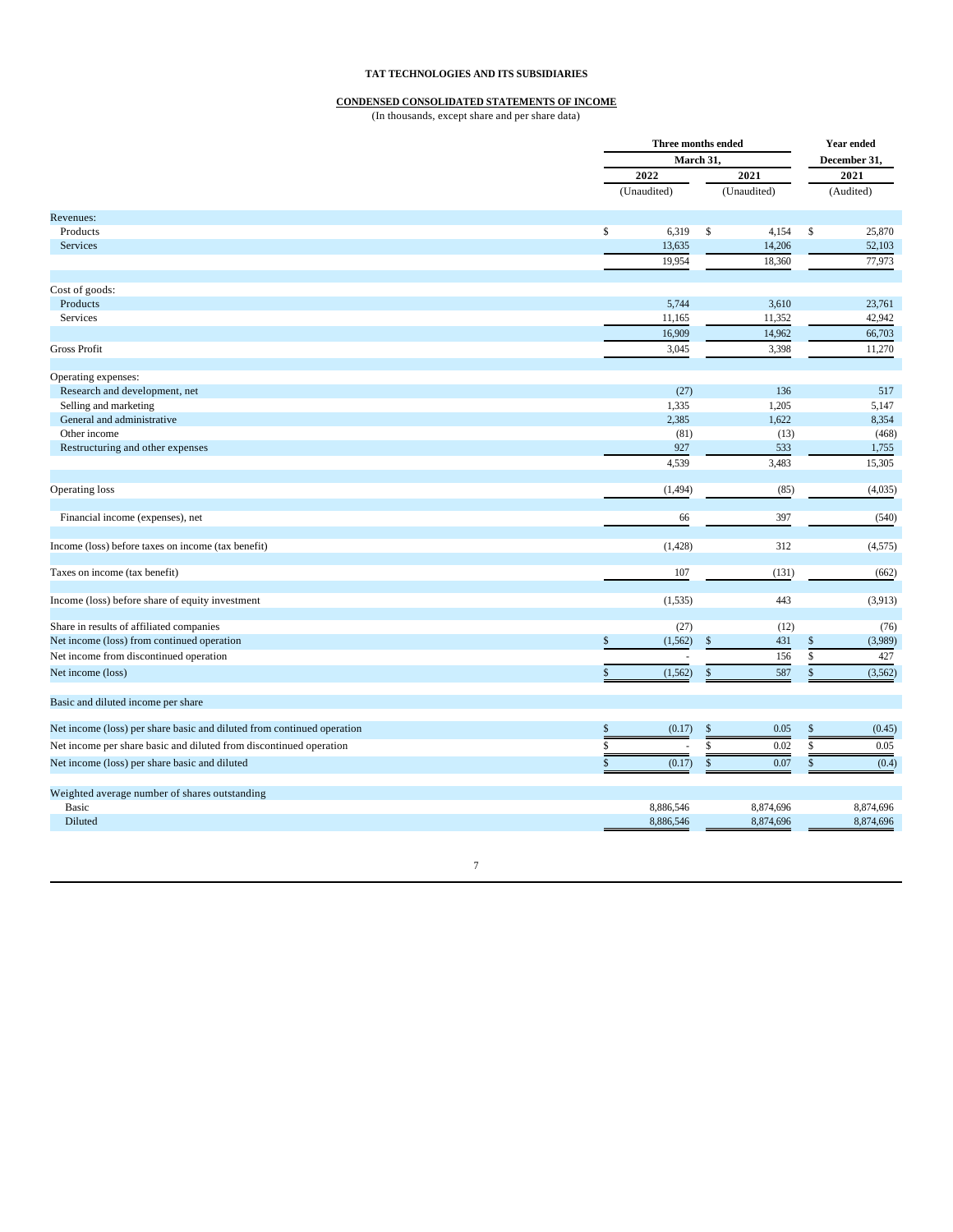# **CONDENSED CONSOLIDATED STATEMENTS OF INCOME**

(In thousands, except share and per share data)

|                                                                        |                | Three months ended  |                                    |  |  |  |  |
|------------------------------------------------------------------------|----------------|---------------------|------------------------------------|--|--|--|--|
|                                                                        |                | March 31,           |                                    |  |  |  |  |
|                                                                        | 2022           | 2021                | 2021                               |  |  |  |  |
|                                                                        | (Unaudited)    | (Unaudited)         | (Audited)                          |  |  |  |  |
| Revenues:                                                              |                |                     |                                    |  |  |  |  |
| Products                                                               | \$<br>6,319    | \$<br>4,154         | \$<br>25,870                       |  |  |  |  |
| Services                                                               | 13,635         | 14,206              | 52,103                             |  |  |  |  |
|                                                                        | 19,954         | 18,360              | 77,973                             |  |  |  |  |
| Cost of goods:                                                         |                |                     |                                    |  |  |  |  |
| Products                                                               | 5,744          | 3,610               | 23,761                             |  |  |  |  |
| Services                                                               | 11,165         | 11,352              | 42,942                             |  |  |  |  |
|                                                                        | 16,909         | 14,962              | 66,703                             |  |  |  |  |
| <b>Gross Profit</b>                                                    | 3,045          | 3,398               | 11,270                             |  |  |  |  |
| Operating expenses:                                                    |                |                     |                                    |  |  |  |  |
| Research and development, net                                          | (27)           | 136                 | 517                                |  |  |  |  |
| Selling and marketing                                                  | 1,335          | 1,205               | 5,147                              |  |  |  |  |
| General and administrative                                             | 2,385          | 1,622               | 8,354                              |  |  |  |  |
| Other income                                                           | (81)           | (13)                | (468)                              |  |  |  |  |
| Restructuring and other expenses                                       | 927            | 533                 | 1,755                              |  |  |  |  |
|                                                                        | 4,539          | 3,483               | 15,305                             |  |  |  |  |
| Operating loss                                                         | (1, 494)       | (85)                | (4,035)                            |  |  |  |  |
| Financial income (expenses), net                                       | 66             | 397                 | (540)                              |  |  |  |  |
| Income (loss) before taxes on income (tax benefit)                     | (1, 428)       | 312                 | (4, 575)                           |  |  |  |  |
|                                                                        |                |                     |                                    |  |  |  |  |
| Taxes on income (tax benefit)                                          | 107            | (131)               | (662)                              |  |  |  |  |
| Income (loss) before share of equity investment                        | (1, 535)       | 443                 | (3,913)                            |  |  |  |  |
| Share in results of affiliated companies                               | (27)           | (12)                | (76)                               |  |  |  |  |
| Net income (loss) from continued operation                             | \$<br>(1, 562) | 431<br>\$           | \$<br>(3,989)                      |  |  |  |  |
| Net income from discontinued operation                                 |                | 156                 | $\mathsf{s}$<br>427                |  |  |  |  |
| Net income (loss)                                                      | \$<br>(1, 562) | 587<br>$\mathbb{S}$ | $\overline{\mathbf{s}}$<br>(3,562) |  |  |  |  |
| Basic and diluted income per share                                     |                |                     |                                    |  |  |  |  |
| Net income (loss) per share basic and diluted from continued operation | \$<br>(0.17)   | 0.05<br>\$          | \$<br>(0.45)                       |  |  |  |  |
| Net income per share basic and diluted from discontinued operation     | \$<br>٠        | \$<br>0.02          | \$<br>0.05                         |  |  |  |  |
| Net income (loss) per share basic and diluted                          | \$<br>(0.17)   | 0.07<br>\$          | \$<br>(0.4)                        |  |  |  |  |
| Weighted average number of shares outstanding                          |                |                     |                                    |  |  |  |  |
| Basic                                                                  | 8,886,546      | 8,874,696           | 8,874,696                          |  |  |  |  |
| Diluted                                                                | 8,886,546      | 8,874,696           | 8,874,696                          |  |  |  |  |
|                                                                        |                |                     |                                    |  |  |  |  |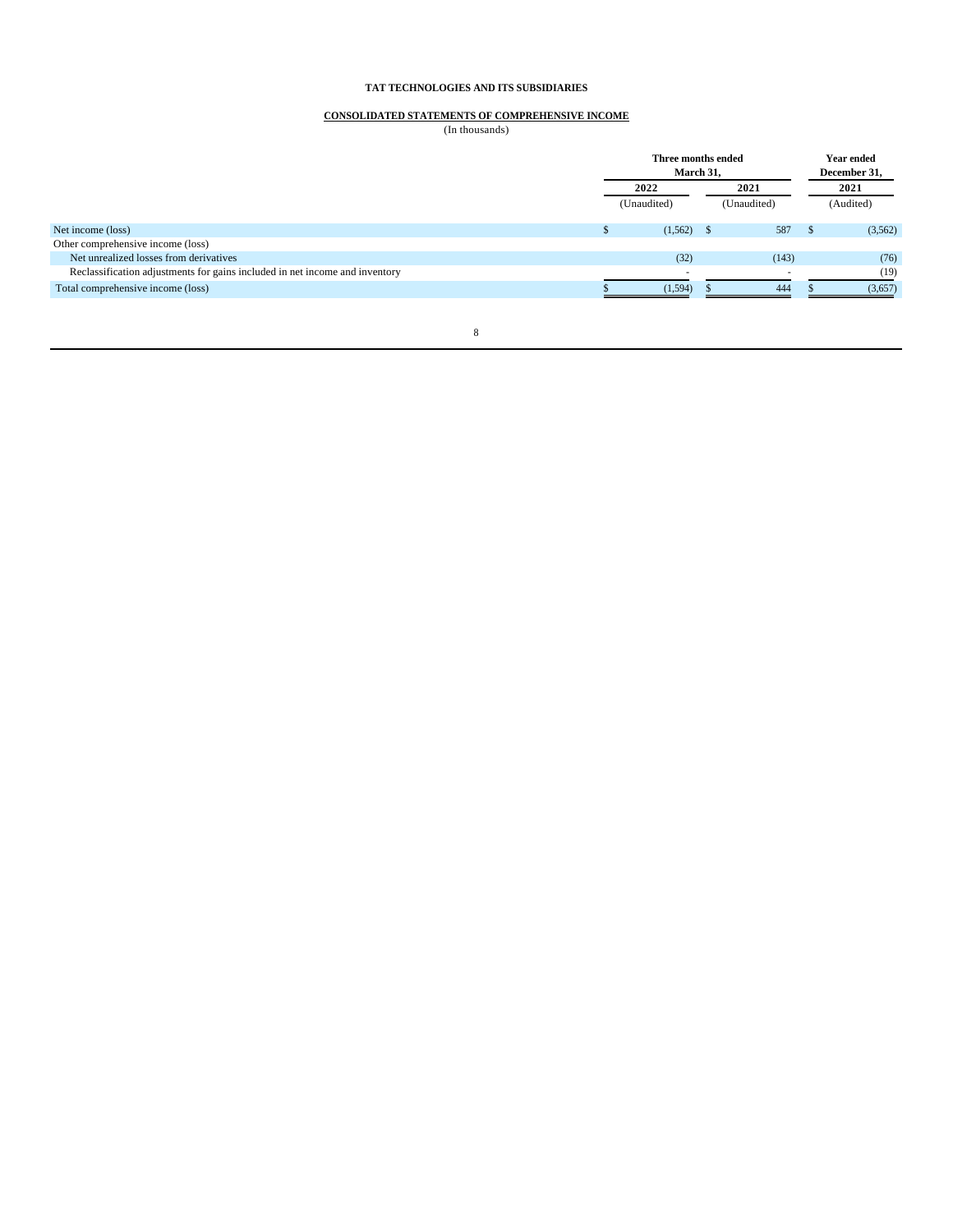# **CONSOLIDATED STATEMENTS OF COMPREHENSIVE INCOME**

(In thousands)

|                                                                             |  | Three months ended<br>March 31. | Year ended<br>December 31, |       |  |           |
|-----------------------------------------------------------------------------|--|---------------------------------|----------------------------|-------|--|-----------|
|                                                                             |  | 2022                            | 2021<br>(Unaudited)        |       |  | 2021      |
|                                                                             |  | (Unaudited)                     |                            |       |  | (Audited) |
| Net income (loss)                                                           |  | $(1,562)$ \$                    |                            | 587   |  | (3,562)   |
| Other comprehensive income (loss)                                           |  |                                 |                            |       |  |           |
| Net unrealized losses from derivatives                                      |  | (32)                            |                            | (143) |  | (76)      |
| Reclassification adjustments for gains included in net income and inventory |  |                                 |                            |       |  | (19)      |
| Total comprehensive income (loss)                                           |  | (1,594)                         |                            | 444   |  | (3,657)   |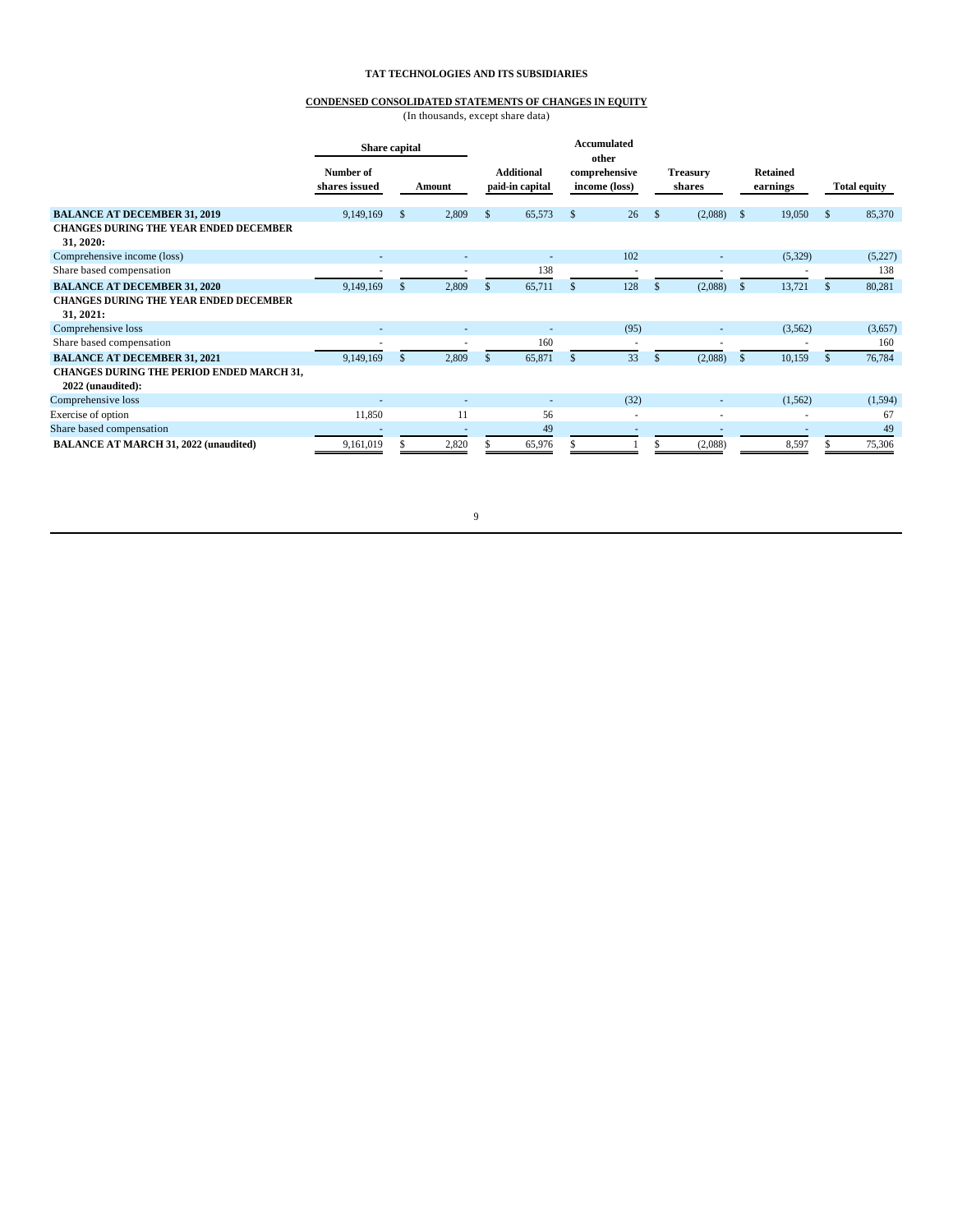# **CONDENSED CONSOLIDATED STATEMENTS OF CHANGES IN EQUITY**

(In thousands, except share data)

|                                                                         | Share capital              |              |        | Accumulated<br>other |                                      |               |                                |              |                           |                             |         |                     |         |
|-------------------------------------------------------------------------|----------------------------|--------------|--------|----------------------|--------------------------------------|---------------|--------------------------------|--------------|---------------------------|-----------------------------|---------|---------------------|---------|
|                                                                         | Number of<br>shares issued |              | Amount |                      | <b>Additional</b><br>paid-in capital |               | comprehensive<br>income (loss) |              | <b>Treasury</b><br>shares | <b>Retained</b><br>earnings |         | <b>Total equity</b> |         |
| <b>BALANCE AT DECEMBER 31, 2019</b>                                     | 9,149,169                  | <sup>S</sup> | 2,809  | \$                   | 65,573                               | <sup>\$</sup> | 26                             | $\mathbb{S}$ | (2,088)                   | $\mathbb{S}$                | 19,050  | -S                  | 85,370  |
| <b>CHANGES DURING THE YEAR ENDED DECEMBER</b><br>31, 2020:              |                            |              |        |                      |                                      |               |                                |              |                           |                             |         |                     |         |
| Comprehensive income (loss)                                             |                            |              |        |                      |                                      |               | 102                            |              |                           |                             | (5,329) |                     | (5,227) |
| Share based compensation                                                |                            |              |        |                      | 138                                  |               |                                |              |                           |                             |         |                     | 138     |
| <b>BALANCE AT DECEMBER 31, 2020</b>                                     | 9,149,169                  |              | 2,809  |                      | 65,711                               |               | 128                            |              | (2,088)                   |                             | 13,721  |                     | 80,281  |
| <b>CHANGES DURING THE YEAR ENDED DECEMBER</b><br>31, 2021:              |                            |              |        |                      |                                      |               |                                |              |                           |                             |         |                     |         |
| Comprehensive loss                                                      |                            |              |        |                      |                                      |               | (95)                           |              |                           |                             | (3,562) |                     | (3,657) |
| Share based compensation                                                |                            |              |        |                      | 160                                  |               |                                |              |                           |                             |         |                     | 160     |
| <b>BALANCE AT DECEMBER 31, 2021</b>                                     | 9,149,169                  |              | 2,809  |                      | 65,871                               |               | 33                             |              | (2,088)                   |                             | 10,159  |                     | 76,784  |
| <b>CHANGES DURING THE PERIOD ENDED MARCH 31,</b><br>$2022$ (unaudited): |                            |              |        |                      |                                      |               |                                |              |                           |                             |         |                     |         |
| Comprehensive loss                                                      |                            |              |        |                      |                                      |               | (32)                           |              |                           |                             | (1,562) |                     | (1,594) |
| Exercise of option                                                      | 11,850                     |              | 11     |                      | 56                                   |               | $\overline{a}$                 |              |                           |                             |         |                     | 67      |
| Share based compensation                                                |                            |              |        |                      | 49                                   |               |                                |              |                           |                             |         |                     | 49      |
| <b>BALANCE AT MARCH 31, 2022 (unaudited)</b>                            | 9,161,019                  |              | 2,820  |                      | 65,976                               |               |                                |              | (2,088)                   |                             | 8,597   |                     | 75,306  |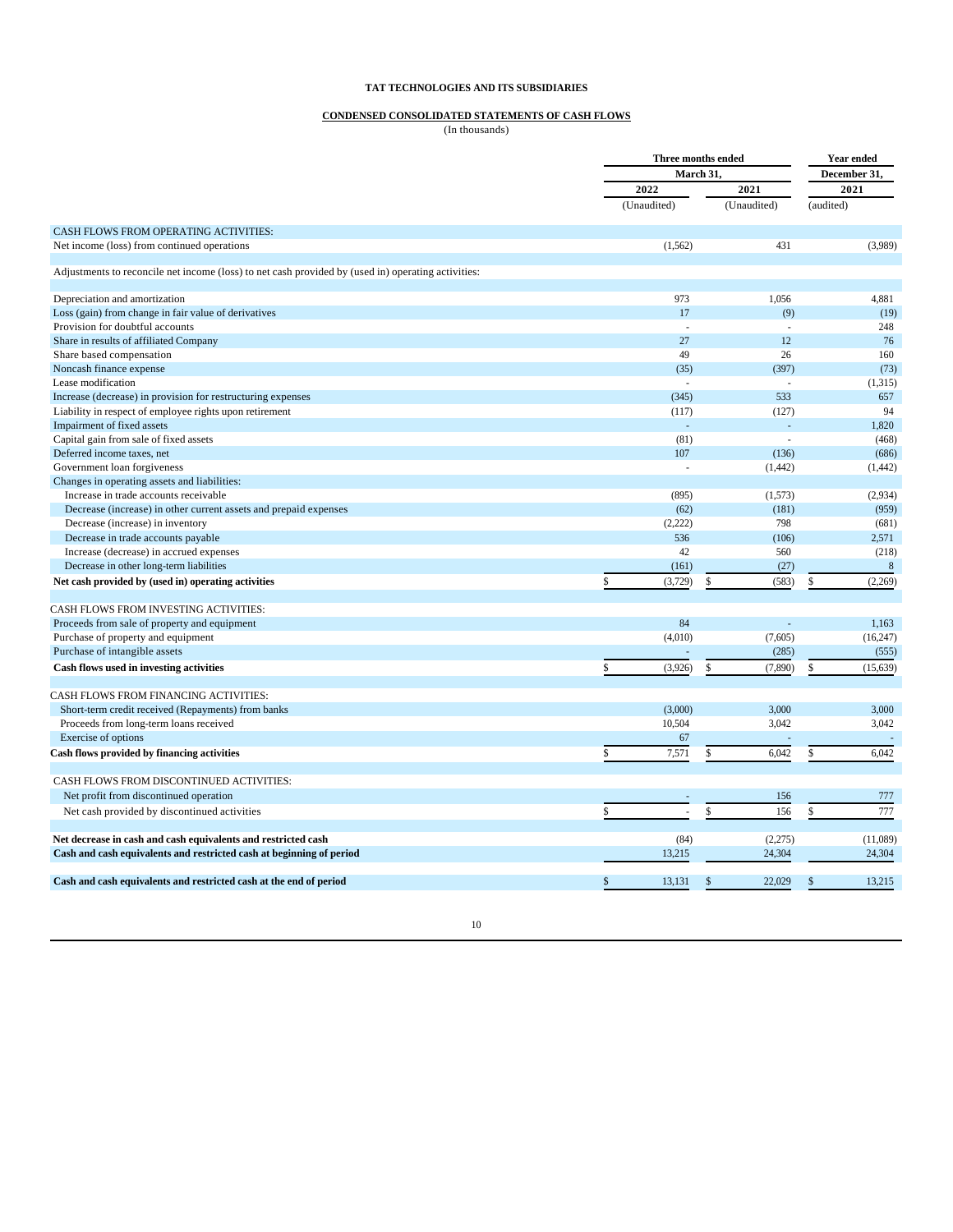# **CONDENSED CONSOLIDATED STATEMENTS OF CASH FLOWS**

(In thousands)

|                                                                                                    | Three months ended             |                     |                 |  |  |  |
|----------------------------------------------------------------------------------------------------|--------------------------------|---------------------|-----------------|--|--|--|
|                                                                                                    | March 31,                      |                     | December 31,    |  |  |  |
|                                                                                                    | 2022                           |                     | 2021            |  |  |  |
|                                                                                                    | (Unaudited)                    | (Unaudited)         | (audited)       |  |  |  |
| CASH FLOWS FROM OPERATING ACTIVITIES:                                                              |                                |                     |                 |  |  |  |
| Net income (loss) from continued operations                                                        | (1, 562)                       | 431                 | (3,989)         |  |  |  |
| Adjustments to reconcile net income (loss) to net cash provided by (used in) operating activities: |                                |                     |                 |  |  |  |
| Depreciation and amortization                                                                      | 973                            | 1,056               | 4,881           |  |  |  |
| Loss (gain) from change in fair value of derivatives                                               | 17                             | (9)                 | (19)            |  |  |  |
| Provision for doubtful accounts                                                                    | J.                             | $\bar{\phantom{a}}$ | 248             |  |  |  |
| Share in results of affiliated Company                                                             | 27                             | 12                  | 76              |  |  |  |
| Share based compensation                                                                           | 49                             | 26                  | 160             |  |  |  |
| Noncash finance expense                                                                            | (35)                           | (397)               | (73)            |  |  |  |
| Lease modification                                                                                 | ×.                             | $\sim$              | (1,315)         |  |  |  |
| Increase (decrease) in provision for restructuring expenses                                        | (345)                          | 533                 | 657             |  |  |  |
| Liability in respect of employee rights upon retirement                                            | (117)                          | (127)               | 94              |  |  |  |
| Impairment of fixed assets                                                                         |                                |                     | 1,820           |  |  |  |
| Capital gain from sale of fixed assets                                                             | (81)                           | ÷,                  | (468)           |  |  |  |
| Deferred income taxes, net                                                                         | 107                            | (136)               | (686)           |  |  |  |
| Government loan forgiveness                                                                        |                                | (1, 442)            | (1, 442)        |  |  |  |
| Changes in operating assets and liabilities:                                                       |                                |                     |                 |  |  |  |
| Increase in trade accounts receivable                                                              | (895)                          | (1,573)             | (2,934)         |  |  |  |
| Decrease (increase) in other current assets and prepaid expenses                                   | (62)                           | (181)               | (959)           |  |  |  |
| Decrease (increase) in inventory                                                                   | (2,222)                        | 798                 | (681)           |  |  |  |
| Decrease in trade accounts payable                                                                 | 536                            | (106)               | 2,571           |  |  |  |
| Increase (decrease) in accrued expenses                                                            | 42                             | 560                 | (218)           |  |  |  |
| Decrease in other long-term liabilities                                                            | (161)                          | (27)                | $\, 8$          |  |  |  |
| Net cash provided by (used in) operating activities                                                | \$<br>(3,729)                  | \$<br>(583)         | \$<br>(2, 269)  |  |  |  |
|                                                                                                    |                                |                     |                 |  |  |  |
| CASH FLOWS FROM INVESTING ACTIVITIES:                                                              |                                |                     |                 |  |  |  |
| Proceeds from sale of property and equipment                                                       | 84                             | $\blacksquare$      | 1,163           |  |  |  |
| Purchase of property and equipment                                                                 | (4,010)                        | (7,605)             | (16, 247)       |  |  |  |
| Purchase of intangible assets                                                                      |                                | (285)               | (555)           |  |  |  |
| Cash flows used in investing activities                                                            | \$<br>(3,926)                  | (7, 890)<br>\$      | \$<br>(15, 639) |  |  |  |
|                                                                                                    |                                |                     |                 |  |  |  |
| CASH FLOWS FROM FINANCING ACTIVITIES:                                                              |                                |                     |                 |  |  |  |
| Short-term credit received (Repayments) from banks                                                 | (3,000)                        | 3,000               | 3,000           |  |  |  |
| Proceeds from long-term loans received                                                             | 10,504                         | 3.042               | 3,042           |  |  |  |
| Exercise of options                                                                                | 67                             |                     |                 |  |  |  |
| Cash flows provided by financing activities                                                        | \$<br>7,571                    | 6,042<br>\$         | \$<br>6,042     |  |  |  |
| CASH FLOWS FROM DISCONTINUED ACTIVITIES:                                                           |                                |                     |                 |  |  |  |
| Net profit from discontinued operation                                                             |                                | 156                 | 777             |  |  |  |
| Net cash provided by discontinued activities                                                       | \$<br>$\overline{\phantom{a}}$ | \$<br>156           | \$<br>777       |  |  |  |
|                                                                                                    |                                |                     |                 |  |  |  |
| Net decrease in cash and cash equivalents and restricted cash                                      | (84)                           | (2,275)             | (11,089)        |  |  |  |
| Cash and cash equivalents and restricted cash at beginning of period                               | 13,215                         | 24,304              | 24,304          |  |  |  |
|                                                                                                    |                                |                     |                 |  |  |  |
| Cash and cash equivalents and restricted cash at the end of period                                 | \$<br>13,131                   | 22,029<br>\$        | \$<br>13,215    |  |  |  |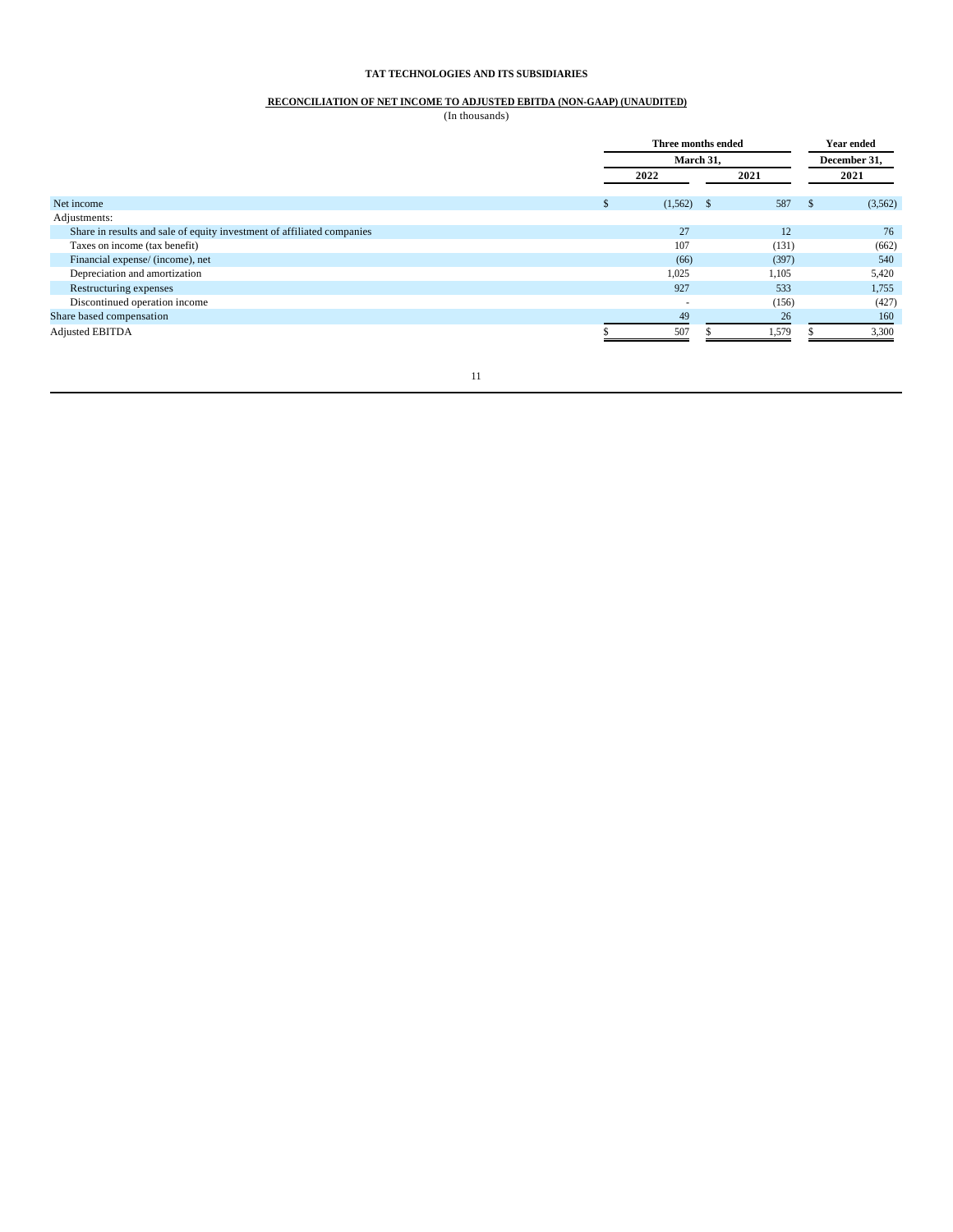#### **RECONCILIATION OF NET INCOME TO ADJUSTED EBITDA (NON-GAAP) (UNAUDITED)**

(In thousands)

|                                                                        |           | Three months ended |      |       |   |              |  |  |
|------------------------------------------------------------------------|-----------|--------------------|------|-------|---|--------------|--|--|
|                                                                        | March 31, |                    |      |       |   | December 31, |  |  |
|                                                                        | 2022      |                    | 2021 |       |   | 2021         |  |  |
| Net income                                                             | ъ         | $(1,562)$ \$       |      | 587   | S | (3, 562)     |  |  |
| Adjustments:                                                           |           |                    |      |       |   |              |  |  |
| Share in results and sale of equity investment of affiliated companies |           | 27                 |      | 12    |   | 76           |  |  |
| Taxes on income (tax benefit)                                          |           | 107                |      | (131) |   | (662)        |  |  |
| Financial expense/ (income), net                                       |           | (66)               |      | (397) |   | 540          |  |  |
| Depreciation and amortization                                          |           | 1,025              |      | 1,105 |   | 5,420        |  |  |
| Restructuring expenses                                                 |           | 927                |      | 533   |   | 1,755        |  |  |
| Discontinued operation income                                          |           |                    |      | (156) |   | (427)        |  |  |
| Share based compensation                                               |           | 49                 |      | 26    |   | 160          |  |  |
| <b>Adjusted EBITDA</b>                                                 |           | 507                |      | 1,579 |   | 3,300        |  |  |